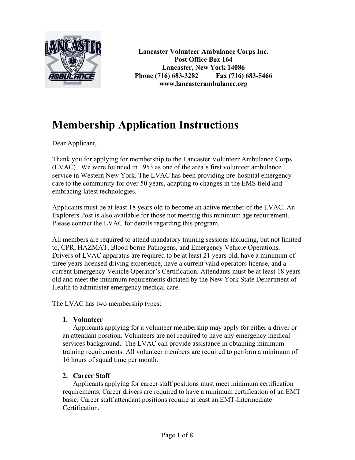

**Lancaster Volunteer Ambulance Corps Inc. Post Office Box 164 Lancaster, New York 14086 Phone (716) 683-3282 Fax (716) 683-5466 www.lancasterambulance.org** 

================================================

# **Membership Application Instructions**

Dear Applicant,

Thank you for applying for membership to the Lancaster Volunteer Ambulance Corps (LVAC). We were founded in 1953 as one of the area's first volunteer ambulance service in Western New York. The LVAC has been providing pre-hospital emergency care to the community for over 50 years, adapting to changes in the EMS field and embracing latest technologies.

Applicants must be at least 18 years old to become an active member of the LVAC. An Explorers Post is also available for those not meeting this minimum age requirement. Please contact the LVAC for details regarding this program.

All members are required to attend mandatory training sessions including, but not limited to, CPR, HAZMAT, Blood borne Pathogens, and Emergency Vehicle Operations. Drivers of LVAC apparatus are required to be at least 21 years old, have a minimum of three years licensed driving experience, have a current valid operators license, and a current Emergency Vehicle Operator's Certification. Attendants must be at least 18 years old and meet the minimum requirements dictated by the New York State Department of Health to administer emergency medical care.

The LVAC has two membership types:

#### **1. Volunteer**

Applicants applying for a volunteer membership may apply for either a driver or an attendant position. Volunteers are not required to have any emergency medical services background. The LVAC can provide assistance in obtaining minimum training requirements. All volunteer members are required to perform a minimum of 16 hours of squad time per month.

#### **2. Career Staff**

Applicants applying for career staff positions must meet minimum certification requirements. Career drivers are required to have a minimum certification of an EMT basic. Career staff attendant positions require at least an EMT-Intermediate **Certification**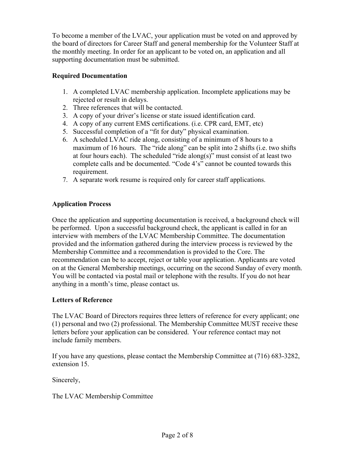To become a member of the LVAC, your application must be voted on and approved by the board of directors for Career Staff and general membership for the Volunteer Staff at the monthly meeting. In order for an applicant to be voted on, an application and all supporting documentation must be submitted.

### **Required Documentation**

- 1. A completed LVAC membership application. Incomplete applications may be rejected or result in delays.
- 2. Three references that will be contacted.
- 3. A copy of your driver's license or state issued identification card.
- 4. A copy of any current EMS certifications. (i.e. CPR card, EMT, etc)
- 5. Successful completion of a "fit for duty" physical examination.
- 6. A scheduled LVAC ride along, consisting of a minimum of 8 hours to a maximum of 16 hours. The "ride along" can be split into 2 shifts (i.e. two shifts at four hours each). The scheduled "ride along(s)" must consist of at least two complete calls and be documented. "Code 4's" cannot be counted towards this requirement.
- 7. A separate work resume is required only for career staff applications.

### **Application Process**

Once the application and supporting documentation is received, a background check will be performed. Upon a successful background check, the applicant is called in for an interview with members of the LVAC Membership Committee. The documentation provided and the information gathered during the interview process is reviewed by the Membership Committee and a recommendation is provided to the Core. The recommendation can be to accept, reject or table your application. Applicants are voted on at the General Membership meetings, occurring on the second Sunday of every month. You will be contacted via postal mail or telephone with the results. If you do not hear anything in a month's time, please contact us.

#### **Letters of Reference**

The LVAC Board of Directors requires three letters of reference for every applicant; one (1) personal and two (2) professional. The Membership Committee MUST receive these letters before your application can be considered. Your reference contact may not include family members.

If you have any questions, please contact the Membership Committee at (716) 683-3282, extension 15.

Sincerely,

The LVAC Membership Committee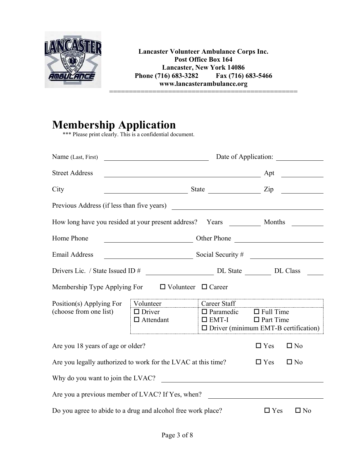

**Lancaster Volunteer Ambulance Corps Inc. Post Office Box 164 Lancaster, New York 14086**<br>16) 683-3282 **Fax** (716) 683-5466 Phone (716) 683-3282 **www.lancasterambulance.org**  ================================================

# **Membership Application**

\*\*\* Please print clearly. This is a confidential document.

| Name (Last, First)                                                            | Date of Application:<br><u> 1989 - Jan Samuel Barbara, martin de la partida de la partida de la partida de la partida de la partida de l</u> |                                                                                                    |                                      |                                       |
|-------------------------------------------------------------------------------|----------------------------------------------------------------------------------------------------------------------------------------------|----------------------------------------------------------------------------------------------------|--------------------------------------|---------------------------------------|
| <b>Street Address</b>                                                         | <u> 1989 - Johann Barn, fransk politik (d. 1989)</u>                                                                                         |                                                                                                    | Apt                                  | <u> a shekara ta 1999 a shekara t</u> |
| City                                                                          |                                                                                                                                              |                                                                                                    |                                      |                                       |
|                                                                               |                                                                                                                                              |                                                                                                    |                                      |                                       |
| How long have you resided at your present address? Years _____________ Months |                                                                                                                                              |                                                                                                    |                                      |                                       |
| Home Phone                                                                    |                                                                                                                                              | Other Phone                                                                                        |                                      |                                       |
| <b>Email Address</b>                                                          | $\frac{1}{2}$ Social Security #                                                                                                              |                                                                                                    |                                      |                                       |
|                                                                               |                                                                                                                                              |                                                                                                    |                                      |                                       |
| Membership Type Applying For                                                  |                                                                                                                                              | $\Box$ Volunteer $\Box$ Career                                                                     |                                      |                                       |
| Position(s) Applying For<br>(choose from one list)                            | Volunteer<br>$\Box$ Driver<br>$\Box$ Attendant                                                                                               | Career Staff<br>$\Box$ Paramedic<br>$\square$ EMT-I<br>$\Box$ Driver (minimum EMT-B certification) | $\Box$ Full Time<br>$\Box$ Part Time |                                       |
| Are you 18 years of age or older?                                             |                                                                                                                                              |                                                                                                    | $\Box$ Yes                           | $\square$ No                          |
| Are you legally authorized to work for the LVAC at this time?                 |                                                                                                                                              | $\Box$ Yes                                                                                         | $\square$ No                         |                                       |
| Why do you want to join the LVAC?                                             |                                                                                                                                              |                                                                                                    |                                      |                                       |
| Are you a previous member of LVAC? If Yes, when?                              |                                                                                                                                              |                                                                                                    |                                      |                                       |
| Do you agree to abide to a drug and alcohol free work place?                  |                                                                                                                                              |                                                                                                    | $\Box$ Yes                           | $\Box$ No                             |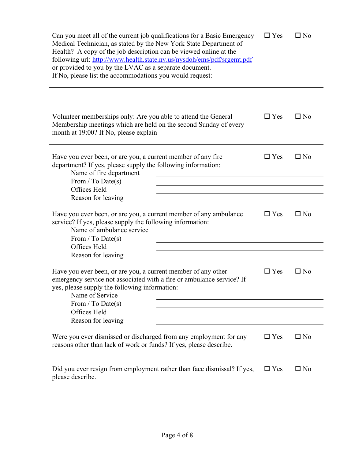| Can you meet all of the current job qualifications for a Basic Emergency<br>Medical Technician, as stated by the New York State Department of<br>Health? A copy of the job description can be viewed online at the<br>following url: http://www.health.state.ny.us/nysdoh/ems/pdf/srgemt.pdf<br>or provided to you by the LVAC as a separate document.<br>If No, please list the accommodations you would request: | $\square$ Yes | $\square$ No |
|--------------------------------------------------------------------------------------------------------------------------------------------------------------------------------------------------------------------------------------------------------------------------------------------------------------------------------------------------------------------------------------------------------------------|---------------|--------------|
| Volunteer memberships only: Are you able to attend the General<br>Membership meetings which are held on the second Sunday of every<br>month at 19:00? If No, please explain                                                                                                                                                                                                                                        | $\Box$ Yes    | $\Box$ No    |
| Have you ever been, or are you, a current member of any fire<br>department? If yes, please supply the following information:<br>Name of fire department<br>From / To Date(s)<br>Offices Held                                                                                                                                                                                                                       | $\Box$ Yes    | $\square$ No |
| Reason for leaving<br>Have you ever been, or are you, a current member of any ambulance<br>service? If yes, please supply the following information:<br>Name of ambulance service<br>From / To Date(s)<br>Offices Held<br>Reason for leaving                                                                                                                                                                       | $\Box$ Yes    | $\Box$ No    |
| Have you ever been, or are you, a current member of any other<br>emergency service not associated with a fire or ambulance service? If<br>yes, please supply the following information:<br>Name of Service<br>From / To Date(s)<br>Offices Held<br>Reason for leaving                                                                                                                                              | $\Box$ Yes    | $\Box$ No    |
| Were you ever dismissed or discharged from any employment for any<br>reasons other than lack of work or funds? If yes, please describe.                                                                                                                                                                                                                                                                            | $\Box$ Yes    | $\Box$ No    |
| Did you ever resign from employment rather than face dismissal? If yes,<br>please describe.                                                                                                                                                                                                                                                                                                                        | $\Box$ Yes    | $\square$ No |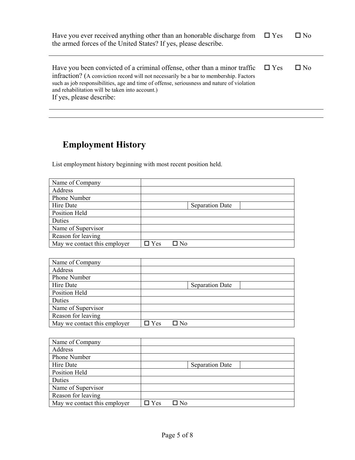| Have you ever received anything other than an honorable discharge from<br>the armed forces of the United States? If yes, please describe.                                                                                                                                                                                                       | $\square$ Yes | $\square$ No |
|-------------------------------------------------------------------------------------------------------------------------------------------------------------------------------------------------------------------------------------------------------------------------------------------------------------------------------------------------|---------------|--------------|
| Have you been convicted of a criminal offense, other than a minor traffic<br>infraction? (A conviction record will not necessarily be a bar to membership. Factors<br>such as job responsibilities, age and time of offense, seriousness and nature of violation<br>and rehabilitation will be taken into account.)<br>If yes, please describe: | $\Box$ Yes    | $\square$ No |

# **Employment History**

List employment history beginning with most recent position held.

| Name of Company              |            |                        |
|------------------------------|------------|------------------------|
| Address                      |            |                        |
| Phone Number                 |            |                        |
| Hire Date                    |            | <b>Separation Date</b> |
| Position Held                |            |                        |
| Duties                       |            |                        |
| Name of Supervisor           |            |                        |
| Reason for leaving           |            |                        |
| May we contact this employer | $\Box$ Yes | □ No                   |

| Name of Company              |            |                        |
|------------------------------|------------|------------------------|
| Address                      |            |                        |
| Phone Number                 |            |                        |
| Hire Date                    |            | <b>Separation Date</b> |
| Position Held                |            |                        |
| Duties                       |            |                        |
| Name of Supervisor           |            |                        |
| Reason for leaving           |            |                        |
| May we contact this employer | $\Box$ Yes | $\Box$ No              |

| Name of Company              |            |      |                        |  |
|------------------------------|------------|------|------------------------|--|
| Address                      |            |      |                        |  |
| <b>Phone Number</b>          |            |      |                        |  |
| Hire Date                    |            |      | <b>Separation Date</b> |  |
| Position Held                |            |      |                        |  |
| Duties                       |            |      |                        |  |
| Name of Supervisor           |            |      |                        |  |
| Reason for leaving           |            |      |                        |  |
| May we contact this employer | $\Box$ Yes | □ No |                        |  |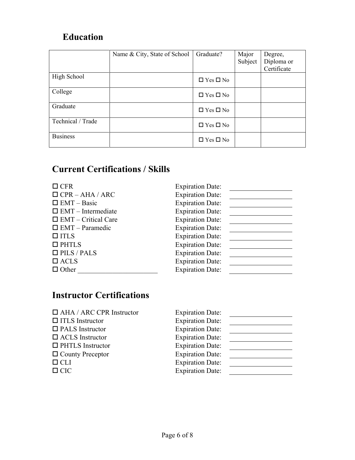## **Education**

|                   | Name & City, State of School | Graduate?            | Major<br>Subject | Degree,<br>Diploma or<br>Certificate |
|-------------------|------------------------------|----------------------|------------------|--------------------------------------|
| High School       |                              | $\Box$ Yes $\Box$ No |                  |                                      |
| College           |                              | $\Box$ Yes $\Box$ No |                  |                                      |
| Graduate          |                              | $\Box$ Yes $\Box$ No |                  |                                      |
| Technical / Trade |                              | $\Box$ Yes $\Box$ No |                  |                                      |
| <b>Business</b>   |                              | $\Box$ Yes $\Box$ No |                  |                                      |

## **Current Certifications / Skills**

| $\Box$ CFR                 | <b>Expiration Date:</b> |
|----------------------------|-------------------------|
| $\Box$ CPR – AHA / ARC     | <b>Expiration Date:</b> |
| $\Box$ EMT – Basic         | <b>Expiration Date:</b> |
| $\Box$ EMT – Intermediate  | <b>Expiration Date:</b> |
| $\Box$ EMT – Critical Care | <b>Expiration Date:</b> |
| $\Box$ EMT – Paramedic     | <b>Expiration Date:</b> |
| $\Box$ ITLS                | <b>Expiration Date:</b> |
| $\Box$ PHTLS               | <b>Expiration Date:</b> |
| $\Box$ PILS / PALS         | <b>Expiration Date:</b> |
| $\Box$ ACLS                | <b>Expiration Date:</b> |
| $\Box$ Other               | <b>Expiration Date:</b> |
|                            |                         |

## **Instructor Certifications**

| $\Box$ AHA / ARC CPR Instructor | <b>Expiration Date:</b> |  |
|---------------------------------|-------------------------|--|
| $\Box$ ITLS Instructor          | <b>Expiration Date:</b> |  |
| $\Box$ PALS Instructor          | <b>Expiration Date:</b> |  |
| $\Box$ ACLS Instructor          | <b>Expiration Date:</b> |  |
| $\Box$ PHTLS Instructor         | <b>Expiration Date:</b> |  |
| $\Box$ County Preceptor         | <b>Expiration Date:</b> |  |
| $\Box$ CLI                      | <b>Expiration Date:</b> |  |
| $\Box$ CIC                      | <b>Expiration Date:</b> |  |
|                                 |                         |  |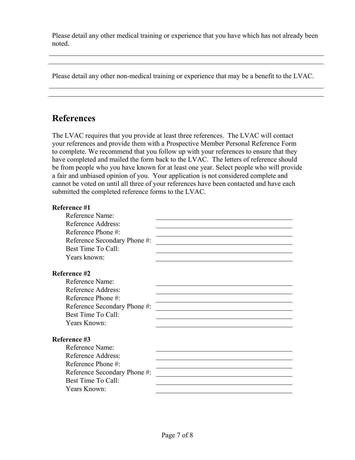Please detail any other medical training or experience that you have which has not already been noted.

Please detail any other non-medical training or experience that may be a benefit to the LVAC.

### **References**

The LVAC requires that you provide at least three references. The LVAC will contact your references and provide them with a Prospective Member Personal Reference Form to complete. We recommend that you follow up with your references to ensure that they have completed and mailed the form back to the LVAC. The letters of reference should be from people who you have known for at least one year. Select people who will provide a fair and unbiased opinion of you. Your application is not considered complete and cannot be voted on until all three of your references have been contacted and have each submitted the completed reference forms to the LVAC.

| Reference #1                                       |  |
|----------------------------------------------------|--|
| Reference Name:                                    |  |
| Reference Address:                                 |  |
| Reference Phone #:                                 |  |
| Reference Secondary Phone #:                       |  |
| Best Time To Call:                                 |  |
| Years known:                                       |  |
| Reference #2                                       |  |
| Reference Name:                                    |  |
| Reference Address:                                 |  |
| Reference Phone #:                                 |  |
| Reference Secondary Phone #:                       |  |
| Best Time To Call:                                 |  |
| Years Known:                                       |  |
| Reference #3                                       |  |
| Reference Name:                                    |  |
| Reference Address:                                 |  |
| Reference Phone #:                                 |  |
|                                                    |  |
| Reference Secondary Phone #:<br>Best Time To Call: |  |
|                                                    |  |
| Years Known:                                       |  |